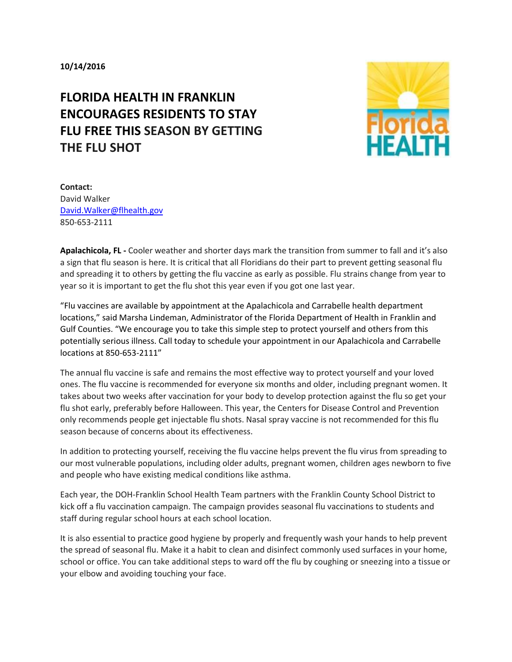## **FLORIDA HEALTH IN FRANKLIN ENCOURAGES RESIDENTS TO STAY FLU FREE THIS SEASON BY GETTING THE FLU SHOT**



**Contact:**  David Walker [David.Walker@flhealth.gov](mailto:David.Walker@flhealth.gov) 850-653-2111

**Apalachicola, FL -** Cooler weather and shorter days mark the transition from summer to fall and it's also a sign that flu season is here. It is critical that all Floridians do their part to prevent getting seasonal flu and spreading it to others by getting the flu vaccine as early as possible. Flu strains change from year to year so it is important to get the flu shot this year even if you got one last year.

"Flu vaccines are available by appointment at the Apalachicola and Carrabelle health department locations," said Marsha Lindeman, Administrator of the Florida Department of Health in Franklin and Gulf Counties. "We encourage you to take this simple step to protect yourself and others from this potentially serious illness. Call today to schedule your appointment in our Apalachicola and Carrabelle locations at 850-653-2111"

The annual flu vaccine is safe and remains the most effective way to protect yourself and your loved ones. The flu vaccine is recommended for everyone six months and older, including pregnant women. It takes about two weeks after vaccination for your body to develop protection against the flu so get your flu shot early, preferably before Halloween. This year, the Centers for Disease Control and Prevention only recommends people get injectable flu shots. Nasal spray vaccine is not recommended for this flu season because of concerns about its effectiveness.

In addition to protecting yourself, receiving the flu vaccine helps prevent the flu virus from spreading to our most vulnerable populations, including older adults, pregnant women, children ages newborn to five and people who have existing medical conditions like asthma.

Each year, the DOH-Franklin School Health Team partners with the Franklin County School District to kick off a flu vaccination campaign. The campaign provides seasonal flu vaccinations to students and staff during regular school hours at each school location.

It is also essential to practice good hygiene by properly and frequently wash your hands to help prevent the spread of seasonal flu. Make it a habit to clean and disinfect commonly used surfaces in your home, school or office. You can take additional steps to ward off the flu by coughing or sneezing into a tissue or your elbow and avoiding touching your face.